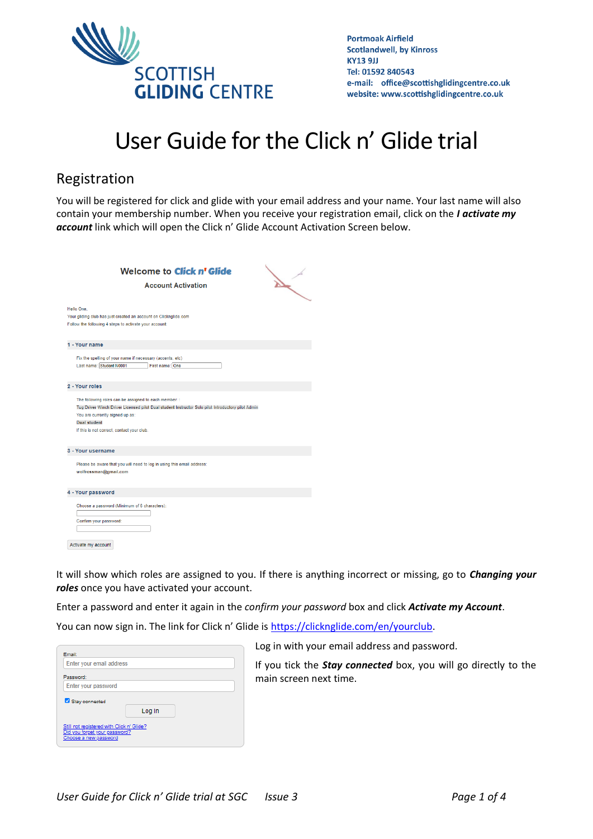

## User Guide for the Click n' Glide trial

## Registration

You will be registered for click and glide with your email address and your name. Your last name will also contain your membership number. When you receive your registration email, click on the *I activate my account* link which will open the Click n' Glide Account Activation Screen below.

| <b>Welcome to Click n' Glide</b><br><b>Account Activation</b>                                                                                                                                                                                                                         | $\lambda$ |
|---------------------------------------------------------------------------------------------------------------------------------------------------------------------------------------------------------------------------------------------------------------------------------------|-----------|
| Hello One.<br>Your gliding club has just created an account on Clicknglide.com<br>Follow the following 4 steps to activate your account:                                                                                                                                              |           |
| 1 - Your name<br>Fix the spelling of your name if necessary (accents, etc)<br>Last name: Student N0001<br>First name: One                                                                                                                                                             |           |
| 2 - Your roles<br>The following roles can be assigned to each member: :<br>Tug Driver Winch Driver Licensed pilot Dual student Instructor Solo pilot Introductory pilot Admin<br>You are currently signed up as:<br><b>Dual student</b><br>If this is not correct, contact your club. |           |
| 3 - Your username<br>Please be aware that you will need to log in using this email address:<br>wolfrossman@gmail.com                                                                                                                                                                  |           |
| 4 - Your password<br>Choose a password (Minimum of 6 characters):<br>Confirm your password:<br>Activate my account                                                                                                                                                                    |           |

It will show which roles are assigned to you. If there is anything incorrect or missing, go to *Changing your roles* once you have activated your account.

Enter a password and enter it again in the *confirm your password* box and click *Activate my Account*.

You can now sign in. The link for Click n' Glide is [https://clicknglide.com/en/yourclub.](https://clicknglide.com/en/yourclub)

| Email:                   |        |  |
|--------------------------|--------|--|
| Enter your email address |        |  |
| Password:                |        |  |
| Enter your password      |        |  |
|                          |        |  |
| Stay connected           | Log In |  |

Log in with your email address and password.

If you tick the *Stay connected* box, you will go directly to the main screen next time.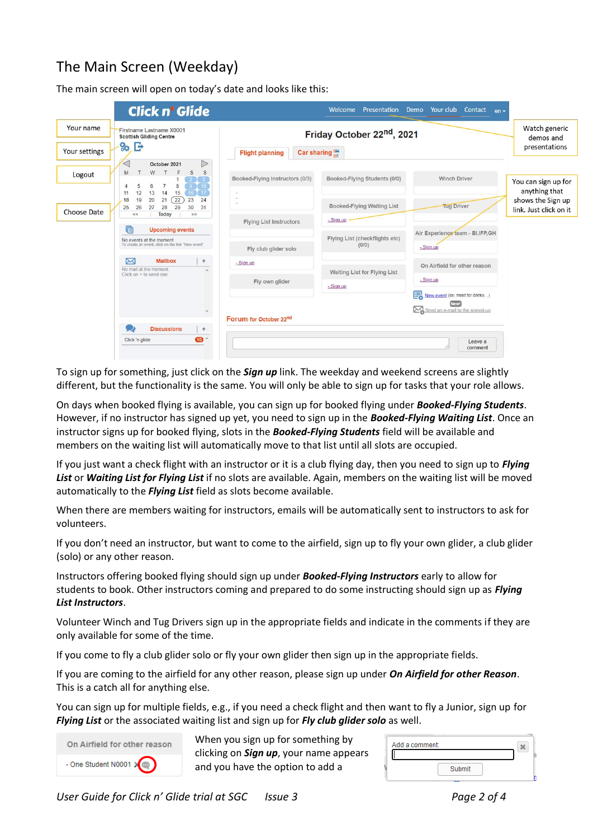## The Main Screen (Weekday)

The main screen will open on today's date and looks like this:

| <b>Click n' Glide</b>                                                                                                                                                      |                                 | Welcome<br>Presentation                | Demo Your club Contact<br>$en -$  |                                                              |
|----------------------------------------------------------------------------------------------------------------------------------------------------------------------------|---------------------------------|----------------------------------------|-----------------------------------|--------------------------------------------------------------|
| Your name<br>Firstname Lastname X0001<br><b>Scottish Gliding Centre</b><br>B<br>80.                                                                                        |                                 | Friday October 22 <sup>nd</sup> , 2021 |                                   | Watch generic<br>demos and<br>presentations                  |
| Your settings                                                                                                                                                              | <b>Flight planning</b>          | Car sharing $_{0}^{\circ\circ\circ}$   |                                   |                                                              |
| $\triangleright$<br>October 2021<br>W<br>S<br>S<br>M<br>Logout                                                                                                             |                                 |                                        | <b>Winch Driver</b>               |                                                              |
| $2$ $3$<br>$9$ 10<br>$\mathbf{8}$<br>6<br>$\overline{7}$<br>5                                                                                                              | Booked-Flying Instructors (0/3) | Booked-Flying Students (0/0)           |                                   | You can sign up for                                          |
| 13<br>15<br>$16$ $17$<br>12<br>14<br>11<br>$\sqrt{22}$<br>19<br>20<br>21<br>18<br>23<br>24<br>26<br>27<br>29<br>30<br>31<br>25<br>28<br>Choose Date<br>Today<br>$<<$<br>>> |                                 | Booked-Flying Waiting List             | <b>Tug Driver</b>                 | anything that<br>shows the Sign up<br>link. Just click on it |
|                                                                                                                                                                            | <b>Flying List Instructors</b>  | - Sign up                              |                                   |                                                              |
| g<br><b>Upcoming events</b><br>No events at the moment                                                                                                                     |                                 | Flying List (checkflights etc)         | Air Experience team - BI, IFP, GH |                                                              |
| To create an event, click on the link "New event"                                                                                                                          | Fly club glider solo            | (0/0)                                  | - Sign up                         |                                                              |
| Σ<br><b>Mailbox</b><br>$\pm$<br>No mail at the moment.<br>Click on + to send one.                                                                                          | - Sign up                       | Waiting List for Flying List           | On Airfield for other reason      |                                                              |
|                                                                                                                                                                            | Fly own glider                  | $-$ Sign up                            | - Sign up                         |                                                              |
|                                                                                                                                                                            |                                 |                                        | New event (ex: meet for drinks)   |                                                              |
|                                                                                                                                                                            | Forum for October 22nd          |                                        | Send an e-mail to the signed-up   |                                                              |
| <b>Discussions</b><br>$\div$                                                                                                                                               |                                 |                                        |                                   |                                                              |
| $\bullet$<br>Click 'n glide                                                                                                                                                |                                 |                                        | Leave a<br>comment                |                                                              |

To sign up for something, just click on the *Sign up* link. The weekday and weekend screens are slightly different, but the functionality is the same. You will only be able to sign up for tasks that your role allows.

On days when booked flying is available, you can sign up for booked flying under *Booked-Flying Students*. However, if no instructor has signed up yet, you need to sign up in the *Booked-Flying Waiting List*. Once an instructor signs up for booked flying, slots in the *Booked-Flying Students* field will be available and members on the waiting list will automatically move to that list until all slots are occupied.

If you just want a check flight with an instructor or it is a club flying day, then you need to sign up to *Flying List* or *Waiting List for Flying List* if no slots are available. Again, members on the waiting list will be moved automatically to the *Flying List* field as slots become available.

When there are members waiting for instructors, emails will be automatically sent to instructors to ask for volunteers.

If you don't need an instructor, but want to come to the airfield, sign up to fly your own glider, a club glider (solo) or any other reason.

Instructors offering booked flying should sign up under *Booked-Flying Instructors* early to allow for students to book. Other instructors coming and prepared to do some instructing should sign up as *Flying List Instructors*.

Volunteer Winch and Tug Drivers sign up in the appropriate fields and indicate in the comments if they are only available for some of the time.

If you come to fly a club glider solo or fly your own glider then sign up in the appropriate fields.

If you are coming to the airfield for any other reason, please sign up under *On Airfield for other Reason*. This is a catch all for anything else.

You can sign up for multiple fields, e.g., if you need a check flight and then want to fly a Junior, sign up for *Flying List* or the associated waiting list and sign up for *Fly club glider solo* as well.



When you sign up for something by clicking on *Sign up*, your name appears and you have the option to add a

| Add a comment: | × |  |
|----------------|---|--|
|                |   |  |
| Submit         |   |  |
|                |   |  |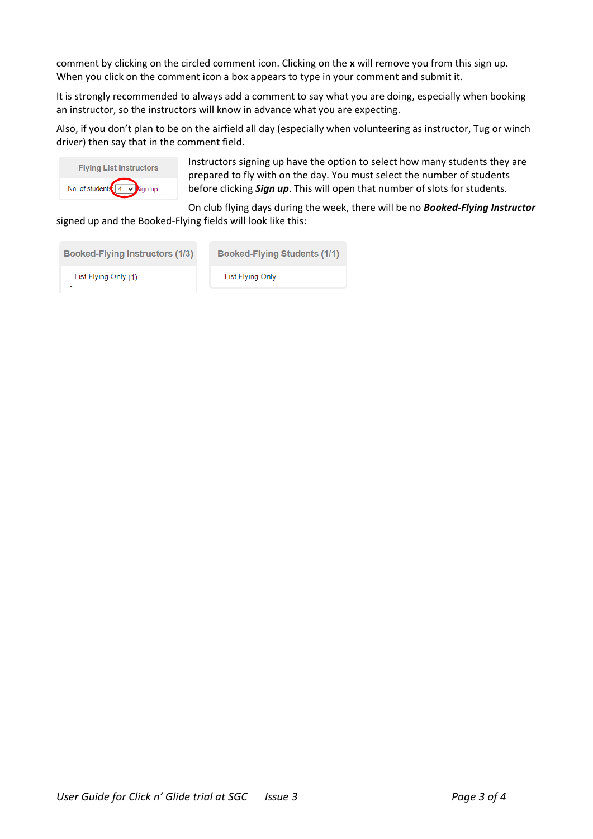comment by clicking on the circled comment icon. Clicking on the **x** will remove you from this sign up. When you click on the comment icon a box appears to type in your comment and submit it.

It is strongly recommended to always add a comment to say what you are doing, especially when booking an instructor, so the instructors will know in advance what you are expecting.

Also, if you don't plan to be on the airfield all day (especially when volunteering as instructor, Tug or winch driver) then say that in the comment field.



Instructors signing up have the option to select how many students they are prepared to fly with on the day. You must select the number of students before clicking *Sign up*. This will open that number of slots for students.

On club flying days during the week, there will be no *Booked-Flying Instructor* signed up and the Booked-Flying fields will look like this:

| Booked-Flying Instructors (1/3) | Booked-Flying Students (1/1) |
|---------------------------------|------------------------------|
| - List Flying Only (1)          | - List Flying Only           |